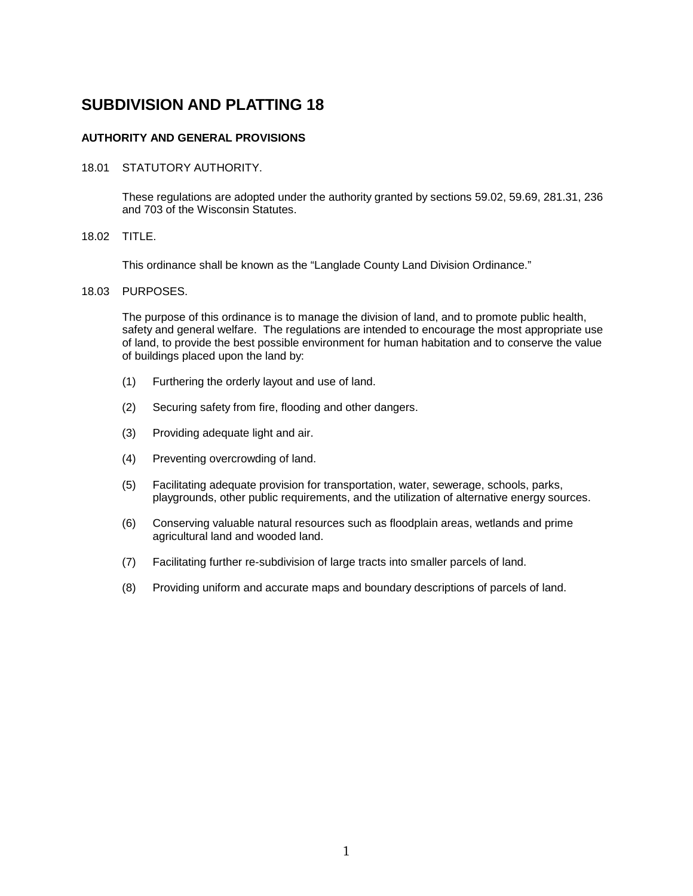# **AUTHORITY AND GENERAL PROVISIONS**

18.01 STATUTORY AUTHORITY.

These regulations are adopted under the authority granted by sections 59.02, 59.69, 281.31, 236 and 703 of the Wisconsin Statutes.

18.02 TITLE.

This ordinance shall be known as the "Langlade County Land Division Ordinance."

#### 18.03 PURPOSES.

The purpose of this ordinance is to manage the division of land, and to promote public health, safety and general welfare. The regulations are intended to encourage the most appropriate use of land, to provide the best possible environment for human habitation and to conserve the value of buildings placed upon the land by:

- (1) Furthering the orderly layout and use of land.
- (2) Securing safety from fire, flooding and other dangers.
- (3) Providing adequate light and air.
- (4) Preventing overcrowding of land.
- (5) Facilitating adequate provision for transportation, water, sewerage, schools, parks, playgrounds, other public requirements, and the utilization of alternative energy sources.
- (6) Conserving valuable natural resources such as floodplain areas, wetlands and prime agricultural land and wooded land.
- (7) Facilitating further re-subdivision of large tracts into smaller parcels of land.
- (8) Providing uniform and accurate maps and boundary descriptions of parcels of land.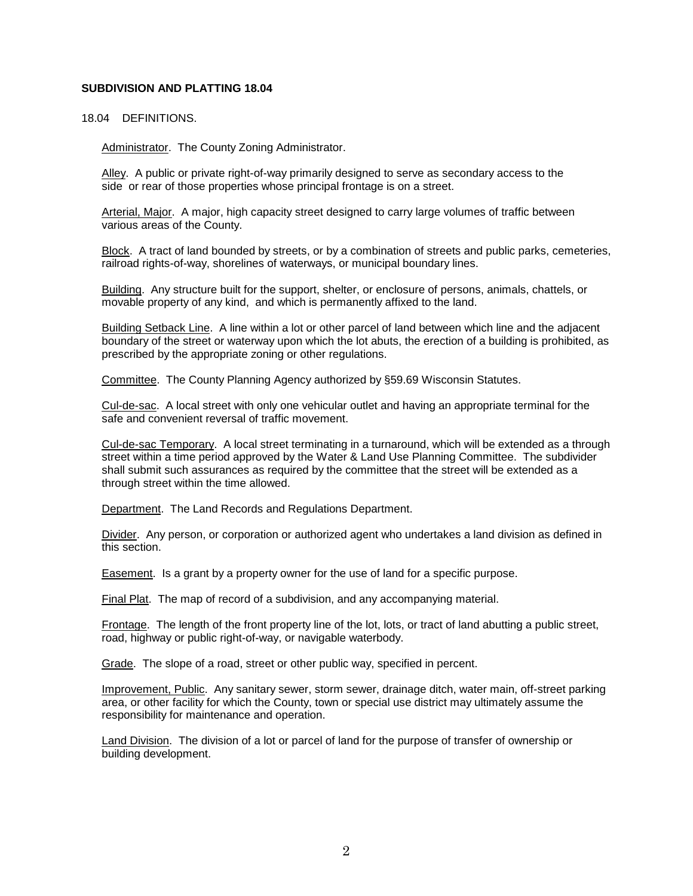#### 18.04 DEFINITIONS.

Administrator. The County Zoning Administrator.

Alley. A public or private right-of-way primarily designed to serve as secondary access to the side or rear of those properties whose principal frontage is on a street.

Arterial, Major. A major, high capacity street designed to carry large volumes of traffic between various areas of the County.

Block. A tract of land bounded by streets, or by a combination of streets and public parks, cemeteries, railroad rights-of-way, shorelines of waterways, or municipal boundary lines.

Building. Any structure built for the support, shelter, or enclosure of persons, animals, chattels, or movable property of any kind, and which is permanently affixed to the land.

Building Setback Line. A line within a lot or other parcel of land between which line and the adjacent boundary of the street or waterway upon which the lot abuts, the erection of a building is prohibited, as prescribed by the appropriate zoning or other regulations.

Committee. The County Planning Agency authorized by §59.69 Wisconsin Statutes.

Cul-de-sac. A local street with only one vehicular outlet and having an appropriate terminal for the safe and convenient reversal of traffic movement.

Cul-de-sac Temporary. A local street terminating in a turnaround, which will be extended as a through street within a time period approved by the Water & Land Use Planning Committee. The subdivider shall submit such assurances as required by the committee that the street will be extended as a through street within the time allowed.

Department. The Land Records and Regulations Department.

Divider. Any person, or corporation or authorized agent who undertakes a land division as defined in this section.

Easement. Is a grant by a property owner for the use of land for a specific purpose.

Final Plat. The map of record of a subdivision, and any accompanying material.

Frontage. The length of the front property line of the lot, lots, or tract of land abutting a public street, road, highway or public right-of-way, or navigable waterbody.

Grade. The slope of a road, street or other public way, specified in percent.

Improvement, Public. Any sanitary sewer, storm sewer, drainage ditch, water main, off-street parking area, or other facility for which the County, town or special use district may ultimately assume the responsibility for maintenance and operation.

Land Division. The division of a lot or parcel of land for the purpose of transfer of ownership or building development.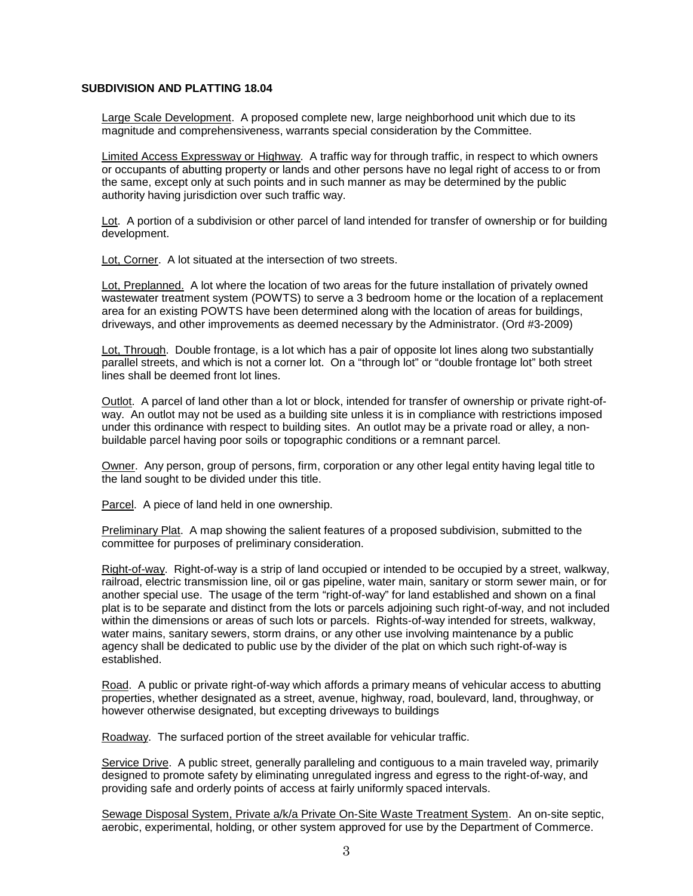Large Scale Development. A proposed complete new, large neighborhood unit which due to its magnitude and comprehensiveness, warrants special consideration by the Committee.

Limited Access Expressway or Highway. A traffic way for through traffic, in respect to which owners or occupants of abutting property or lands and other persons have no legal right of access to or from the same, except only at such points and in such manner as may be determined by the public authority having jurisdiction over such traffic way.

Lot. A portion of a subdivision or other parcel of land intended for transfer of ownership or for building development.

Lot, Corner. A lot situated at the intersection of two streets.

Lot, Preplanned. A lot where the location of two areas for the future installation of privately owned wastewater treatment system (POWTS) to serve a 3 bedroom home or the location of a replacement area for an existing POWTS have been determined along with the location of areas for buildings, driveways, and other improvements as deemed necessary by the Administrator. (Ord #3-2009)

Lot, Through. Double frontage, is a lot which has a pair of opposite lot lines along two substantially parallel streets, and which is not a corner lot. On a "through lot" or "double frontage lot" both street lines shall be deemed front lot lines.

Outlot. A parcel of land other than a lot or block, intended for transfer of ownership or private right-ofway. An outlot may not be used as a building site unless it is in compliance with restrictions imposed under this ordinance with respect to building sites. An outlot may be a private road or alley, a nonbuildable parcel having poor soils or topographic conditions or a remnant parcel.

Owner. Any person, group of persons, firm, corporation or any other legal entity having legal title to the land sought to be divided under this title.

Parcel. A piece of land held in one ownership.

Preliminary Plat. A map showing the salient features of a proposed subdivision, submitted to the committee for purposes of preliminary consideration.

Right-of-way. Right-of-way is a strip of land occupied or intended to be occupied by a street, walkway, railroad, electric transmission line, oil or gas pipeline, water main, sanitary or storm sewer main, or for another special use. The usage of the term "right-of-way" for land established and shown on a final plat is to be separate and distinct from the lots or parcels adjoining such right-of-way, and not included within the dimensions or areas of such lots or parcels. Rights-of-way intended for streets, walkway, water mains, sanitary sewers, storm drains, or any other use involving maintenance by a public agency shall be dedicated to public use by the divider of the plat on which such right-of-way is established.

Road. A public or private right-of-way which affords a primary means of vehicular access to abutting properties, whether designated as a street, avenue, highway, road, boulevard, land, throughway, or however otherwise designated, but excepting driveways to buildings

Roadway. The surfaced portion of the street available for vehicular traffic.

Service Drive. A public street, generally paralleling and contiguous to a main traveled way, primarily designed to promote safety by eliminating unregulated ingress and egress to the right-of-way, and providing safe and orderly points of access at fairly uniformly spaced intervals.

Sewage Disposal System, Private a/k/a Private On-Site Waste Treatment System. An on-site septic, aerobic, experimental, holding, or other system approved for use by the Department of Commerce.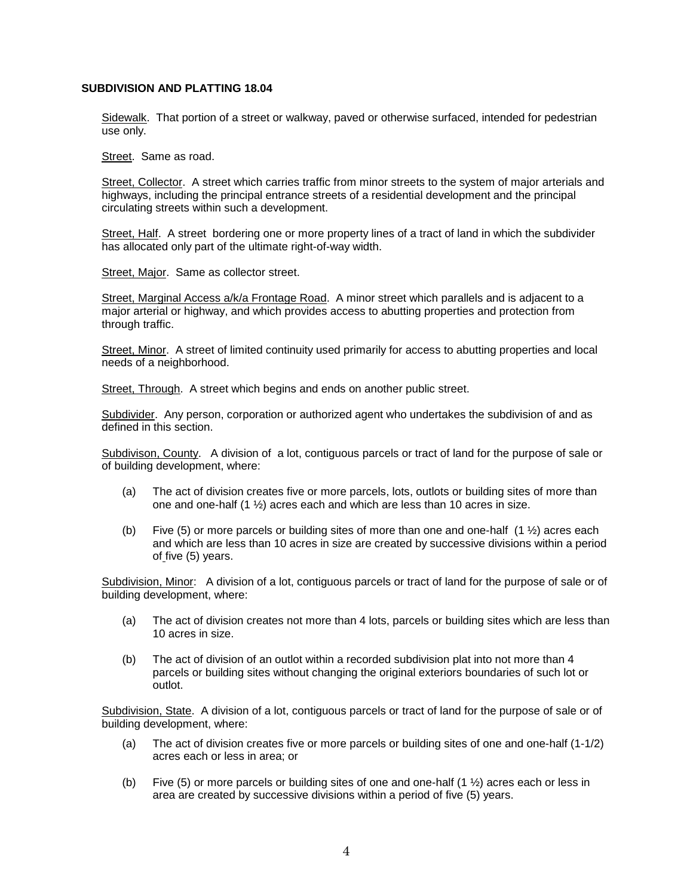Sidewalk. That portion of a street or walkway, paved or otherwise surfaced, intended for pedestrian use only.

Street. Same as road.

Street, Collector. A street which carries traffic from minor streets to the system of major arterials and highways, including the principal entrance streets of a residential development and the principal circulating streets within such a development.

Street, Half. A street bordering one or more property lines of a tract of land in which the subdivider has allocated only part of the ultimate right-of-way width.

Street, Major. Same as collector street.

Street, Marginal Access a/k/a Frontage Road. A minor street which parallels and is adjacent to a major arterial or highway, and which provides access to abutting properties and protection from through traffic.

Street, Minor. A street of limited continuity used primarily for access to abutting properties and local needs of a neighborhood.

Street, Through. A street which begins and ends on another public street.

Subdivider. Any person, corporation or authorized agent who undertakes the subdivision of and as defined in this section.

Subdivison, County. A division of a lot, contiguous parcels or tract of land for the purpose of sale or of building development, where:

- (a) The act of division creates five or more parcels, lots, outlots or building sites of more than one and one-half (1 ½) acres each and which are less than 10 acres in size.
- (b) Five (5) or more parcels or building sites of more than one and one-half  $(1 \frac{1}{2})$  acres each and which are less than 10 acres in size are created by successive divisions within a period of five (5) years.

Subdivision, Minor: A division of a lot, contiguous parcels or tract of land for the purpose of sale or of building development, where:

- (a) The act of division creates not more than 4 lots, parcels or building sites which are less than 10 acres in size.
- (b) The act of division of an outlot within a recorded subdivision plat into not more than 4 parcels or building sites without changing the original exteriors boundaries of such lot or outlot.

Subdivision, State. A division of a lot, contiguous parcels or tract of land for the purpose of sale or of building development, where:

- (a) The act of division creates five or more parcels or building sites of one and one-half (1-1/2) acres each or less in area; or
- (b) Five (5) or more parcels or building sites of one and one-half  $(1 \frac{1}{2})$  acres each or less in area are created by successive divisions within a period of five (5) years.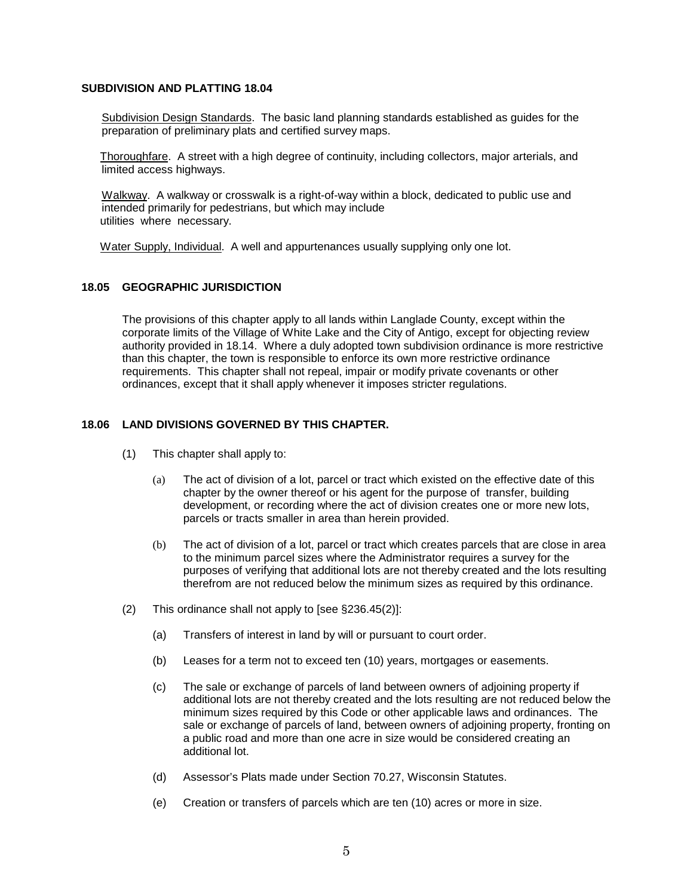Subdivision Design Standards. The basic land planning standards established as guides for the preparation of preliminary plats and certified survey maps.

 Thoroughfare. A street with a high degree of continuity, including collectors, major arterials, and limited access highways.

Walkway. A walkway or crosswalk is a right-of-way within a block, dedicated to public use and intended primarily for pedestrians, but which may include utilities where necessary.

Water Supply, Individual. A well and appurtenances usually supplying only one lot.

#### **18.05 GEOGRAPHIC JURISDICTION**

The provisions of this chapter apply to all lands within Langlade County, except within the corporate limits of the Village of White Lake and the City of Antigo, except for objecting review authority provided in 18.14. Where a duly adopted town subdivision ordinance is more restrictive than this chapter, the town is responsible to enforce its own more restrictive ordinance requirements. This chapter shall not repeal, impair or modify private covenants or other ordinances, except that it shall apply whenever it imposes stricter regulations.

## **18.06 LAND DIVISIONS GOVERNED BY THIS CHAPTER.**

- (1) This chapter shall apply to:
	- (a) The act of division of a lot, parcel or tract which existed on the effective date of this chapter by the owner thereof or his agent for the purpose of transfer, building development, or recording where the act of division creates one or more new lots, parcels or tracts smaller in area than herein provided.
	- (b) The act of division of a lot, parcel or tract which creates parcels that are close in area to the minimum parcel sizes where the Administrator requires a survey for the purposes of verifying that additional lots are not thereby created and the lots resulting therefrom are not reduced below the minimum sizes as required by this ordinance.
- (2) This ordinance shall not apply to [see §236.45(2)]:
	- (a) Transfers of interest in land by will or pursuant to court order.
	- (b) Leases for a term not to exceed ten (10) years, mortgages or easements.
	- (c) The sale or exchange of parcels of land between owners of adjoining property if additional lots are not thereby created and the lots resulting are not reduced below the minimum sizes required by this Code or other applicable laws and ordinances. The sale or exchange of parcels of land, between owners of adjoining property, fronting on a public road and more than one acre in size would be considered creating an additional lot.
	- (d) Assessor's Plats made under Section 70.27, Wisconsin Statutes.
	- (e) Creation or transfers of parcels which are ten (10) acres or more in size.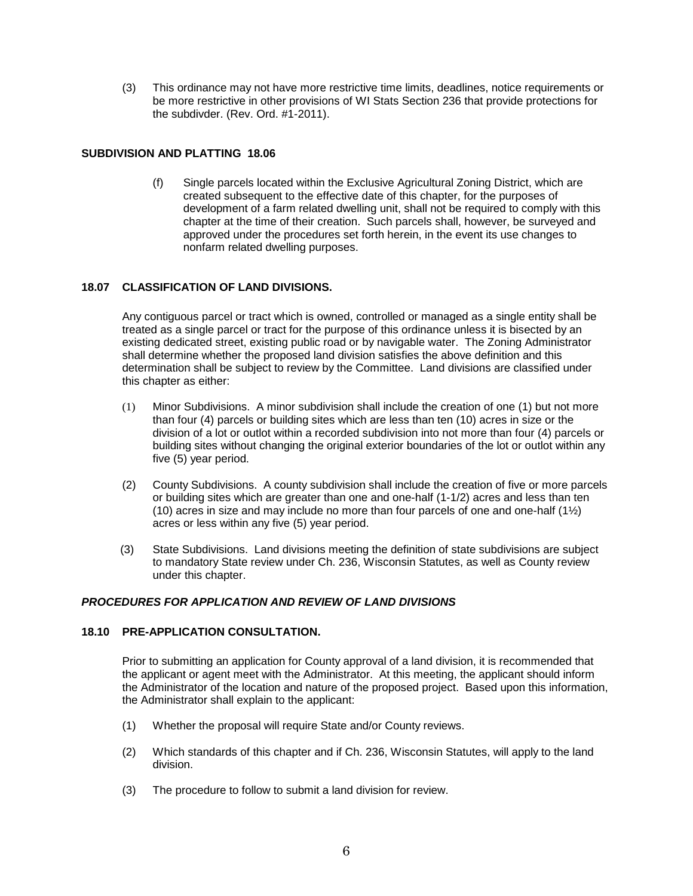(3) This ordinance may not have more restrictive time limits, deadlines, notice requirements or be more restrictive in other provisions of WI Stats Section 236 that provide protections for the subdivder. (Rev. Ord. #1-2011).

## **SUBDIVISION AND PLATTING 18.06**

(f) Single parcels located within the Exclusive Agricultural Zoning District, which are created subsequent to the effective date of this chapter, for the purposes of development of a farm related dwelling unit, shall not be required to comply with this chapter at the time of their creation. Such parcels shall, however, be surveyed and approved under the procedures set forth herein, in the event its use changes to nonfarm related dwelling purposes.

## **18.07 CLASSIFICATION OF LAND DIVISIONS.**

Any contiguous parcel or tract which is owned, controlled or managed as a single entity shall be treated as a single parcel or tract for the purpose of this ordinance unless it is bisected by an existing dedicated street, existing public road or by navigable water. The Zoning Administrator shall determine whether the proposed land division satisfies the above definition and this determination shall be subject to review by the Committee. Land divisions are classified under this chapter as either:

- (1) Minor Subdivisions. A minor subdivision shall include the creation of one (1) but not more than four (4) parcels or building sites which are less than ten (10) acres in size or the division of a lot or outlot within a recorded subdivision into not more than four (4) parcels or building sites without changing the original exterior boundaries of the lot or outlot within any five (5) year period.
- (2) County Subdivisions. A county subdivision shall include the creation of five or more parcels or building sites which are greater than one and one-half (1-1/2) acres and less than ten (10) acres in size and may include no more than four parcels of one and one-half  $(1/2)$ acres or less within any five (5) year period.
- (3) State Subdivisions. Land divisions meeting the definition of state subdivisions are subject to mandatory State review under Ch. 236, Wisconsin Statutes, as well as County review under this chapter.

#### *PROCEDURES FOR APPLICATION AND REVIEW OF LAND DIVISIONS*

#### **18.10 PRE-APPLICATION CONSULTATION.**

Prior to submitting an application for County approval of a land division, it is recommended that the applicant or agent meet with the Administrator. At this meeting, the applicant should inform the Administrator of the location and nature of the proposed project. Based upon this information, the Administrator shall explain to the applicant:

- (1) Whether the proposal will require State and/or County reviews.
- (2) Which standards of this chapter and if Ch. 236, Wisconsin Statutes, will apply to the land division.
- (3) The procedure to follow to submit a land division for review.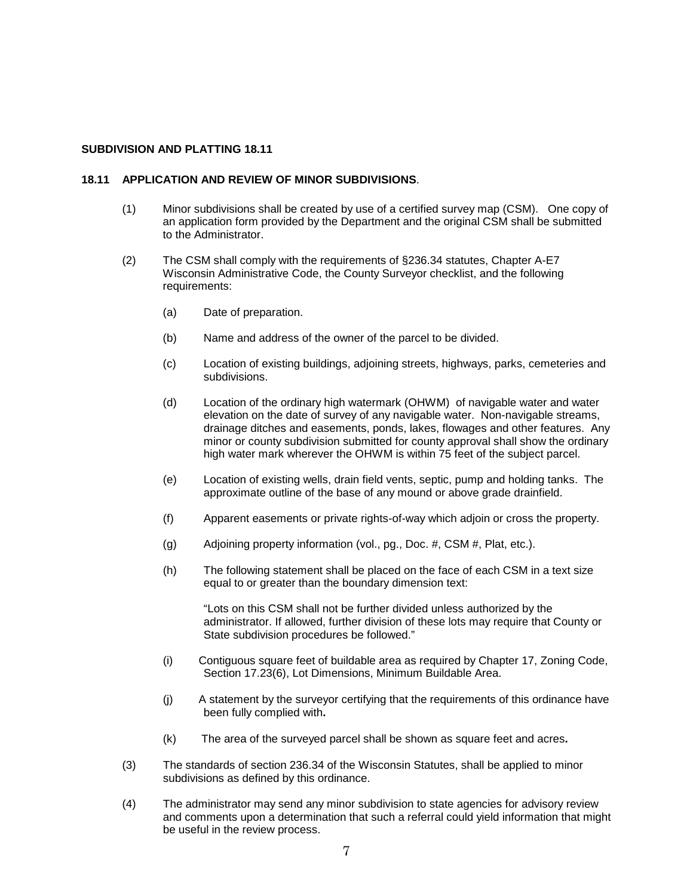#### **18.11 APPLICATION AND REVIEW OF MINOR SUBDIVISIONS**.

- (1) Minor subdivisions shall be created by use of a certified survey map (CSM). One copy of an application form provided by the Department and the original CSM shall be submitted to the Administrator.
- (2) The CSM shall comply with the requirements of §236.34 statutes, Chapter A-E7 Wisconsin Administrative Code, the County Surveyor checklist, and the following requirements:
	- (a) Date of preparation.
	- (b) Name and address of the owner of the parcel to be divided.
	- (c) Location of existing buildings, adjoining streets, highways, parks, cemeteries and subdivisions.
	- (d) Location of the ordinary high watermark (OHWM) of navigable water and water elevation on the date of survey of any navigable water. Non-navigable streams, drainage ditches and easements, ponds, lakes, flowages and other features. Any minor or county subdivision submitted for county approval shall show the ordinary high water mark wherever the OHWM is within 75 feet of the subject parcel.
	- (e) Location of existing wells, drain field vents, septic, pump and holding tanks. The approximate outline of the base of any mound or above grade drainfield.
	- (f) Apparent easements or private rights-of-way which adjoin or cross the property.
	- (g) Adjoining property information (vol., pg., Doc. #, CSM #, Plat, etc.).
	- (h) The following statement shall be placed on the face of each CSM in a text size equal to or greater than the boundary dimension text:

"Lots on this CSM shall not be further divided unless authorized by the administrator. If allowed, further division of these lots may require that County or State subdivision procedures be followed."

- (i) Contiguous square feet of buildable area as required by Chapter 17, Zoning Code, Section 17.23(6), Lot Dimensions, Minimum Buildable Area.
- (j) A statement by the surveyor certifying that the requirements of this ordinance have been fully complied with**.**
- (k) The area of the surveyed parcel shall be shown as square feet and acres**.**
- (3) The standards of section 236.34 of the Wisconsin Statutes, shall be applied to minor subdivisions as defined by this ordinance.
- (4) The administrator may send any minor subdivision to state agencies for advisory review and comments upon a determination that such a referral could yield information that might be useful in the review process.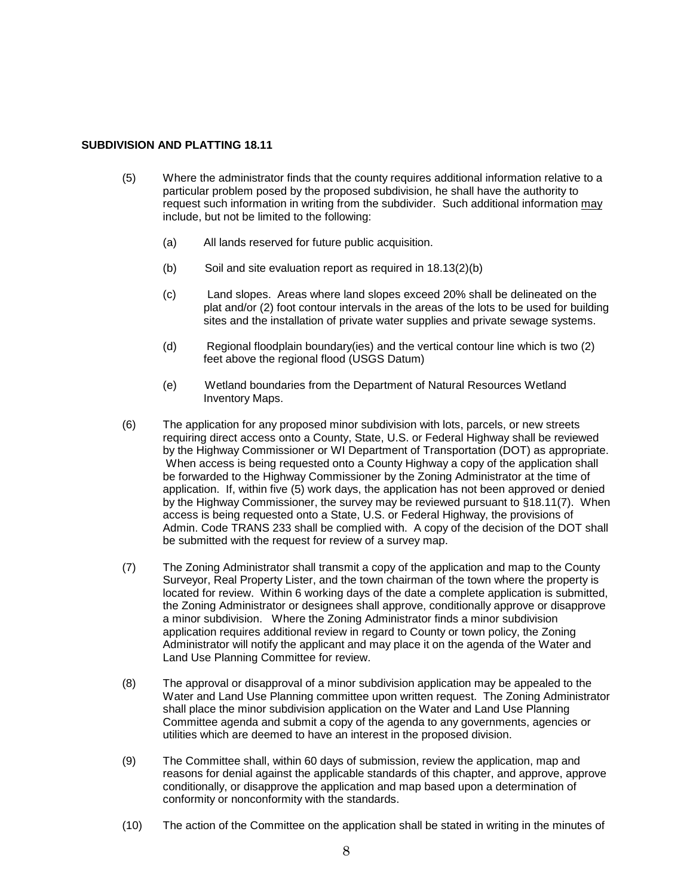- (5) Where the administrator finds that the county requires additional information relative to a particular problem posed by the proposed subdivision, he shall have the authority to request such information in writing from the subdivider. Such additional information may include, but not be limited to the following:
	- (a) All lands reserved for future public acquisition.
	- (b) Soil and site evaluation report as required in 18.13(2)(b)
	- (c) Land slopes. Areas where land slopes exceed 20% shall be delineated on the plat and/or (2) foot contour intervals in the areas of the lots to be used for building sites and the installation of private water supplies and private sewage systems.
	- (d) Regional floodplain boundary(ies) and the vertical contour line which is two (2) feet above the regional flood (USGS Datum)
	- (e) Wetland boundaries from the Department of Natural Resources Wetland Inventory Maps.
- (6) The application for any proposed minor subdivision with lots, parcels, or new streets requiring direct access onto a County, State, U.S. or Federal Highway shall be reviewed by the Highway Commissioner or WI Department of Transportation (DOT) as appropriate. When access is being requested onto a County Highway a copy of the application shall be forwarded to the Highway Commissioner by the Zoning Administrator at the time of application. If, within five (5) work days, the application has not been approved or denied by the Highway Commissioner, the survey may be reviewed pursuant to §18.11(7). When access is being requested onto a State, U.S. or Federal Highway, the provisions of Admin. Code TRANS 233 shall be complied with. A copy of the decision of the DOT shall be submitted with the request for review of a survey map.
- (7) The Zoning Administrator shall transmit a copy of the application and map to the County Surveyor, Real Property Lister, and the town chairman of the town where the property is located for review. Within 6 working days of the date a complete application is submitted, the Zoning Administrator or designees shall approve, conditionally approve or disapprove a minor subdivision. Where the Zoning Administrator finds a minor subdivision application requires additional review in regard to County or town policy, the Zoning Administrator will notify the applicant and may place it on the agenda of the Water and Land Use Planning Committee for review.
- (8) The approval or disapproval of a minor subdivision application may be appealed to the Water and Land Use Planning committee upon written request. The Zoning Administrator shall place the minor subdivision application on the Water and Land Use Planning Committee agenda and submit a copy of the agenda to any governments, agencies or utilities which are deemed to have an interest in the proposed division.
- (9) The Committee shall, within 60 days of submission, review the application, map and reasons for denial against the applicable standards of this chapter, and approve, approve conditionally, or disapprove the application and map based upon a determination of conformity or nonconformity with the standards.
- (10) The action of the Committee on the application shall be stated in writing in the minutes of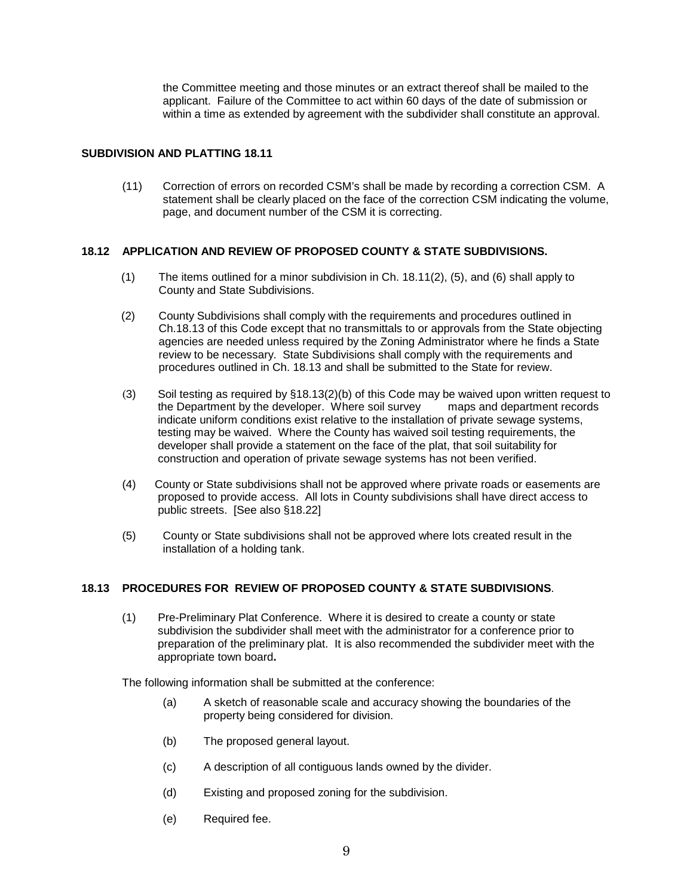the Committee meeting and those minutes or an extract thereof shall be mailed to the applicant. Failure of the Committee to act within 60 days of the date of submission or within a time as extended by agreement with the subdivider shall constitute an approval.

## **SUBDIVISION AND PLATTING 18.11**

(11) Correction of errors on recorded CSM's shall be made by recording a correction CSM. A statement shall be clearly placed on the face of the correction CSM indicating the volume, page, and document number of the CSM it is correcting.

## **18.12 APPLICATION AND REVIEW OF PROPOSED COUNTY & STATE SUBDIVISIONS.**

- (1) The items outlined for a minor subdivision in Ch. 18.11(2), (5), and (6) shall apply to County and State Subdivisions.
- (2) County Subdivisions shall comply with the requirements and procedures outlined in Ch.18.13 of this Code except that no transmittals to or approvals from the State objecting agencies are needed unless required by the Zoning Administrator where he finds a State review to be necessary. State Subdivisions shall comply with the requirements and procedures outlined in Ch. 18.13 and shall be submitted to the State for review.
- (3) Soil testing as required by  $\S$ 18.13(2)(b) of this Code may be waived upon written request to the Department by the developer. Where soil survey maps and department records the Department by the developer. Where soil survey indicate uniform conditions exist relative to the installation of private sewage systems, testing may be waived. Where the County has waived soil testing requirements, the developer shall provide a statement on the face of the plat, that soil suitability for construction and operation of private sewage systems has not been verified.
- (4) County or State subdivisions shall not be approved where private roads or easements are proposed to provide access. All lots in County subdivisions shall have direct access to public streets. [See also §18.22]
- (5) County or State subdivisions shall not be approved where lots created result in the installation of a holding tank.

# **18.13 PROCEDURES FOR REVIEW OF PROPOSED COUNTY & STATE SUBDIVISIONS**.

(1) Pre-Preliminary Plat Conference. Where it is desired to create a county or state subdivision the subdivider shall meet with the administrator for a conference prior to preparation of the preliminary plat. It is also recommended the subdivider meet with the appropriate town board**.**

The following information shall be submitted at the conference:

- (a) A sketch of reasonable scale and accuracy showing the boundaries of the property being considered for division.
- (b) The proposed general layout.
- (c) A description of all contiguous lands owned by the divider.
- (d) Existing and proposed zoning for the subdivision.
- (e) Required fee.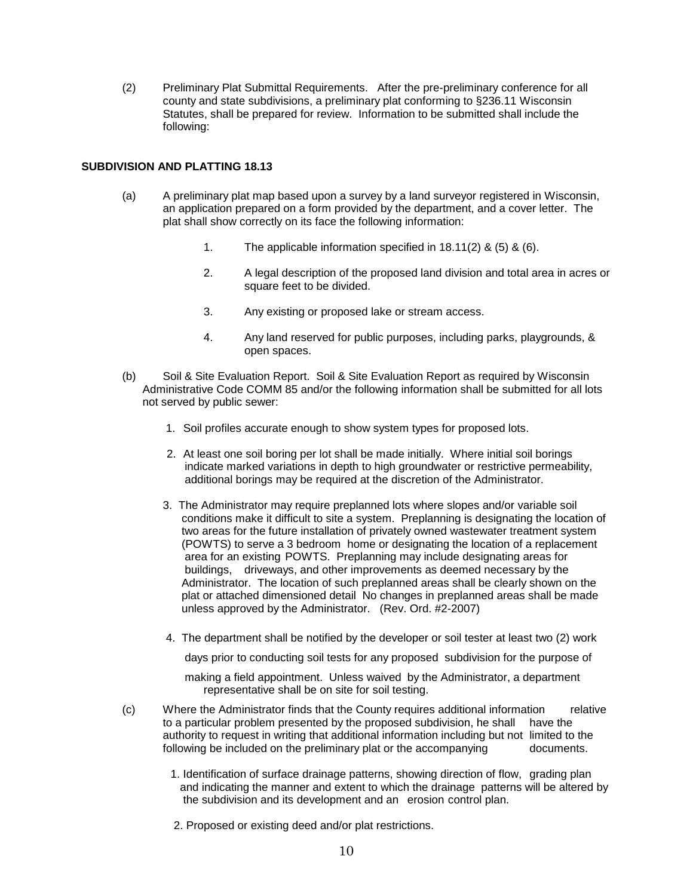(2) Preliminary Plat Submittal Requirements. After the pre-preliminary conference for all county and state subdivisions, a preliminary plat conforming to §236.11 Wisconsin Statutes, shall be prepared for review. Information to be submitted shall include the following:

#### **SUBDIVISION AND PLATTING 18.13**

- (a) A preliminary plat map based upon a survey by a land surveyor registered in Wisconsin, an application prepared on a form provided by the department, and a cover letter. The plat shall show correctly on its face the following information:
	- 1. The applicable information specified in 18.11(2) & (5) & (6).
	- 2. A legal description of the proposed land division and total area in acres or square feet to be divided.
	- 3. Any existing or proposed lake or stream access.
	- 4. Any land reserved for public purposes, including parks, playgrounds, & open spaces.
- (b) Soil & Site Evaluation Report. Soil & Site Evaluation Report as required by Wisconsin Administrative Code COMM 85 and/or the following information shall be submitted for all lots not served by public sewer:
	- 1. Soil profiles accurate enough to show system types for proposed lots.
	- 2. At least one soil boring per lot shall be made initially. Where initial soil borings indicate marked variations in depth to high groundwater or restrictive permeability, additional borings may be required at the discretion of the Administrator.
	- 3. The Administrator may require preplanned lots where slopes and/or variable soil conditions make it difficult to site a system. Preplanning is designating the location of two areas for the future installation of privately owned wastewater treatment system (POWTS) to serve a 3 bedroom home or designating the location of a replacement area for an existing POWTS. Preplanning may include designating areas for buildings, driveways, and other improvements as deemed necessary by the Administrator. The location of such preplanned areas shall be clearly shown on the plat or attached dimensioned detail No changes in preplanned areas shall be made unless approved by the Administrator. (Rev. Ord. #2-2007)
	- 4. The department shall be notified by the developer or soil tester at least two (2) work

days prior to conducting soil tests for any proposed subdivision for the purpose of

 making a field appointment. Unless waived by the Administrator, a department representative shall be on site for soil testing.

- (c) Where the Administrator finds that the County requires additional information relative to a particular problem presented by the proposed subdivision, he shall have the authority to request in writing that additional information including but not limited to the following be included on the preliminary plat or the accompanying documents.
	- 1. Identification of surface drainage patterns, showing direction of flow, grading plan and indicating the manner and extent to which the drainage patterns will be altered by the subdivision and its development and an erosion control plan.
	- 2. Proposed or existing deed and/or plat restrictions.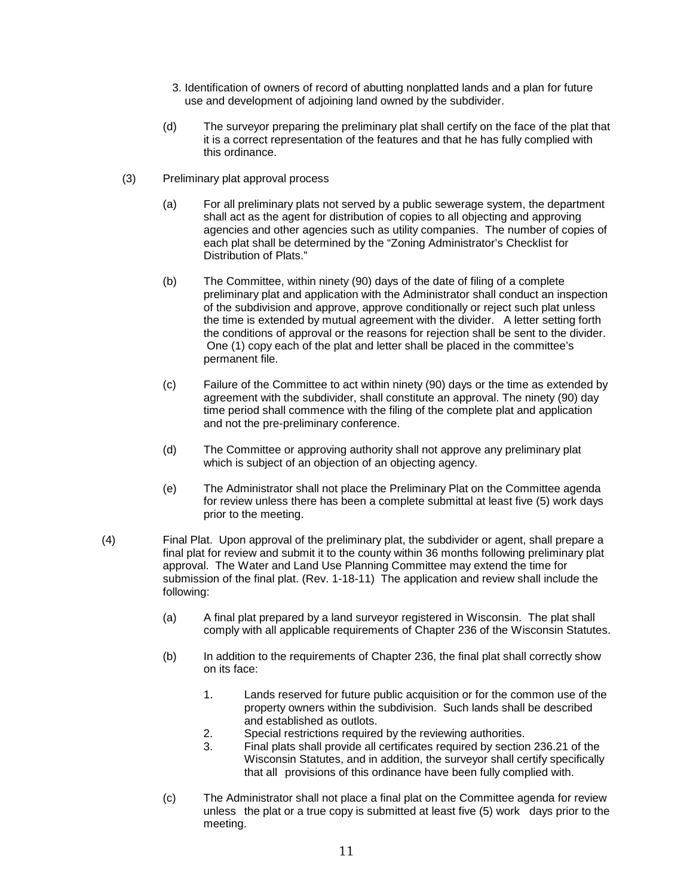- 3. Identification of owners of record of abutting nonplatted lands and a plan for future use and development of adjoining land owned by the subdivider.
- (d) The surveyor preparing the preliminary plat shall certify on the face of the plat that it is a correct representation of the features and that he has fully complied with this ordinance.
- (3) Preliminary plat approval process
	- (a) For all preliminary plats not served by a public sewerage system, the department shall act as the agent for distribution of copies to all objecting and approving agencies and other agencies such as utility companies. The number of copies of each plat shall be determined by the "Zoning Administrator's Checklist for Distribution of Plats."
	- (b) The Committee, within ninety (90) days of the date of filing of a complete preliminary plat and application with the Administrator shall conduct an inspection of the subdivision and approve, approve conditionally or reject such plat unless the time is extended by mutual agreement with the divider. A letter setting forth the conditions of approval or the reasons for rejection shall be sent to the divider. One (1) copy each of the plat and letter shall be placed in the committee's permanent file.
	- (c) Failure of the Committee to act within ninety (90) days or the time as extended by agreement with the subdivider, shall constitute an approval. The ninety (90) day time period shall commence with the filing of the complete plat and application and not the pre-preliminary conference.
	- (d) The Committee or approving authority shall not approve any preliminary plat which is subject of an objection of an objecting agency.
	- (e) The Administrator shall not place the Preliminary Plat on the Committee agenda for review unless there has been a complete submittal at least five (5) work days prior to the meeting.
- (4) Final Plat. Upon approval of the preliminary plat, the subdivider or agent, shall prepare a final plat for review and submit it to the county within 36 months following preliminary plat approval. The Water and Land Use Planning Committee may extend the time for submission of the final plat. (Rev. 1-18-11) The application and review shall include the following:
	- (a) A final plat prepared by a land surveyor registered in Wisconsin. The plat shall comply with all applicable requirements of Chapter 236 of the Wisconsin Statutes.
	- (b) In addition to the requirements of Chapter 236, the final plat shall correctly show on its face:
		- 1. Lands reserved for future public acquisition or for the common use of the property owners within the subdivision. Such lands shall be described and established as outlots.
		- 2. Special restrictions required by the reviewing authorities.<br>3. Final plats shall provide all certificates required by section
		- Final plats shall provide all certificates required by section 236.21 of the Wisconsin Statutes, and in addition, the surveyor shall certify specifically that all provisions of this ordinance have been fully complied with.
	- (c) The Administrator shall not place a final plat on the Committee agenda for review unless the plat or a true copy is submitted at least five (5) work days prior to the meeting.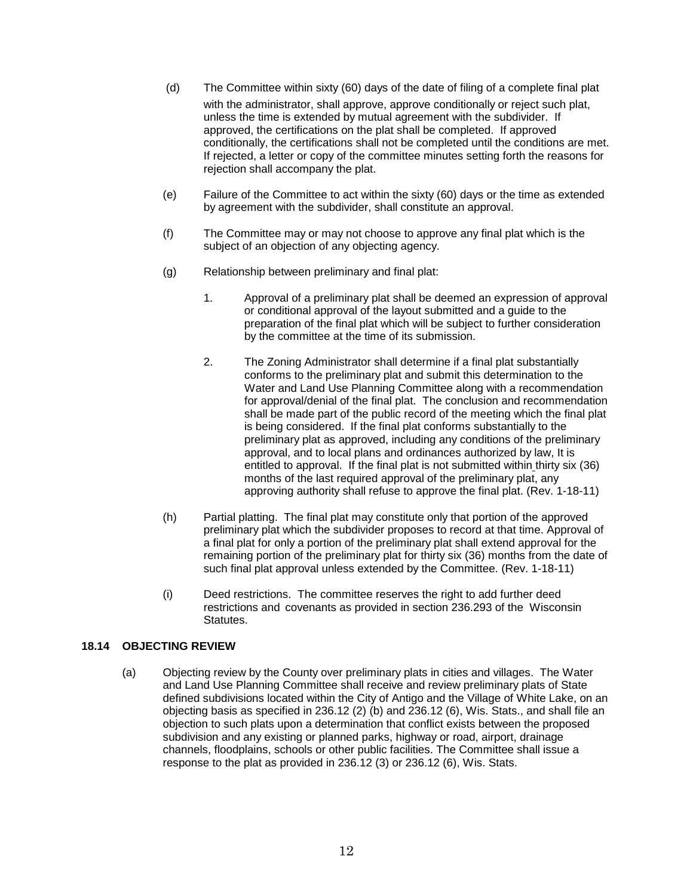- (d) The Committee within sixty (60) days of the date of filing of a complete final plat with the administrator, shall approve, approve conditionally or reject such plat, unless the time is extended by mutual agreement with the subdivider. If approved, the certifications on the plat shall be completed. If approved conditionally, the certifications shall not be completed until the conditions are met. If rejected, a letter or copy of the committee minutes setting forth the reasons for rejection shall accompany the plat.
- (e) Failure of the Committee to act within the sixty (60) days or the time as extended by agreement with the subdivider, shall constitute an approval.
- (f) The Committee may or may not choose to approve any final plat which is the subject of an objection of any objecting agency.
- (g) Relationship between preliminary and final plat:
	- 1. Approval of a preliminary plat shall be deemed an expression of approval or conditional approval of the layout submitted and a guide to the preparation of the final plat which will be subject to further consideration by the committee at the time of its submission.
	- 2. The Zoning Administrator shall determine if a final plat substantially conforms to the preliminary plat and submit this determination to the Water and Land Use Planning Committee along with a recommendation for approval/denial of the final plat. The conclusion and recommendation shall be made part of the public record of the meeting which the final plat is being considered. If the final plat conforms substantially to the preliminary plat as approved, including any conditions of the preliminary approval, and to local plans and ordinances authorized by law, It is entitled to approval. If the final plat is not submitted within thirty six (36) months of the last required approval of the preliminary plat, any approving authority shall refuse to approve the final plat. (Rev. 1-18-11)
- (h) Partial platting. The final plat may constitute only that portion of the approved preliminary plat which the subdivider proposes to record at that time. Approval of a final plat for only a portion of the preliminary plat shall extend approval for the remaining portion of the preliminary plat for thirty six (36) months from the date of such final plat approval unless extended by the Committee. (Rev. 1-18-11)
- (i) Deed restrictions. The committee reserves the right to add further deed restrictions and covenants as provided in section 236.293 of the Wisconsin Statutes.

# **18.14 OBJECTING REVIEW**

(a) Objecting review by the County over preliminary plats in cities and villages. The Water and Land Use Planning Committee shall receive and review preliminary plats of State defined subdivisions located within the City of Antigo and the Village of White Lake, on an objecting basis as specified in 236.12 (2) (b) and 236.12 (6), Wis. Stats., and shall file an objection to such plats upon a determination that conflict exists between the proposed subdivision and any existing or planned parks, highway or road, airport, drainage channels, floodplains, schools or other public facilities. The Committee shall issue a response to the plat as provided in 236.12 (3) or 236.12 (6), Wis. Stats.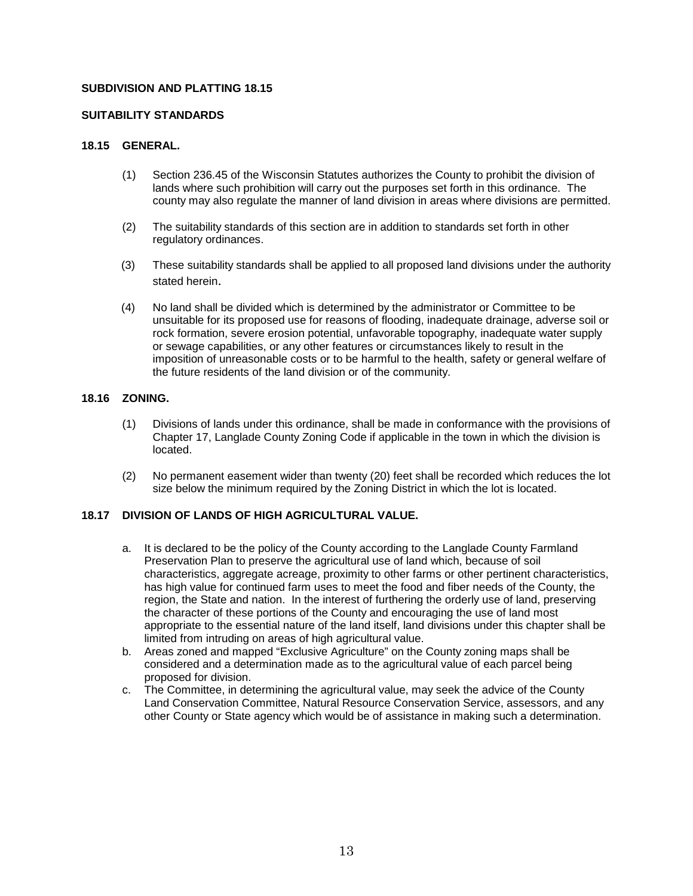#### **SUITABILITY STANDARDS**

## **18.15 GENERAL.**

- (1) Section 236.45 of the Wisconsin Statutes authorizes the County to prohibit the division of lands where such prohibition will carry out the purposes set forth in this ordinance. The county may also regulate the manner of land division in areas where divisions are permitted.
- (2) The suitability standards of this section are in addition to standards set forth in other regulatory ordinances.
- (3) These suitability standards shall be applied to all proposed land divisions under the authority stated herein.
- (4) No land shall be divided which is determined by the administrator or Committee to be unsuitable for its proposed use for reasons of flooding, inadequate drainage, adverse soil or rock formation, severe erosion potential, unfavorable topography, inadequate water supply or sewage capabilities, or any other features or circumstances likely to result in the imposition of unreasonable costs or to be harmful to the health, safety or general welfare of the future residents of the land division or of the community.

# **18.16 ZONING.**

- (1) Divisions of lands under this ordinance, shall be made in conformance with the provisions of Chapter 17, Langlade County Zoning Code if applicable in the town in which the division is located.
- (2) No permanent easement wider than twenty (20) feet shall be recorded which reduces the lot size below the minimum required by the Zoning District in which the lot is located.

# **18.17 DIVISION OF LANDS OF HIGH AGRICULTURAL VALUE.**

- a. It is declared to be the policy of the County according to the Langlade County Farmland Preservation Plan to preserve the agricultural use of land which, because of soil characteristics, aggregate acreage, proximity to other farms or other pertinent characteristics, has high value for continued farm uses to meet the food and fiber needs of the County, the region, the State and nation. In the interest of furthering the orderly use of land, preserving the character of these portions of the County and encouraging the use of land most appropriate to the essential nature of the land itself, land divisions under this chapter shall be limited from intruding on areas of high agricultural value.
- b. Areas zoned and mapped "Exclusive Agriculture" on the County zoning maps shall be considered and a determination made as to the agricultural value of each parcel being proposed for division.
- c. The Committee, in determining the agricultural value, may seek the advice of the County Land Conservation Committee, Natural Resource Conservation Service, assessors, and any other County or State agency which would be of assistance in making such a determination.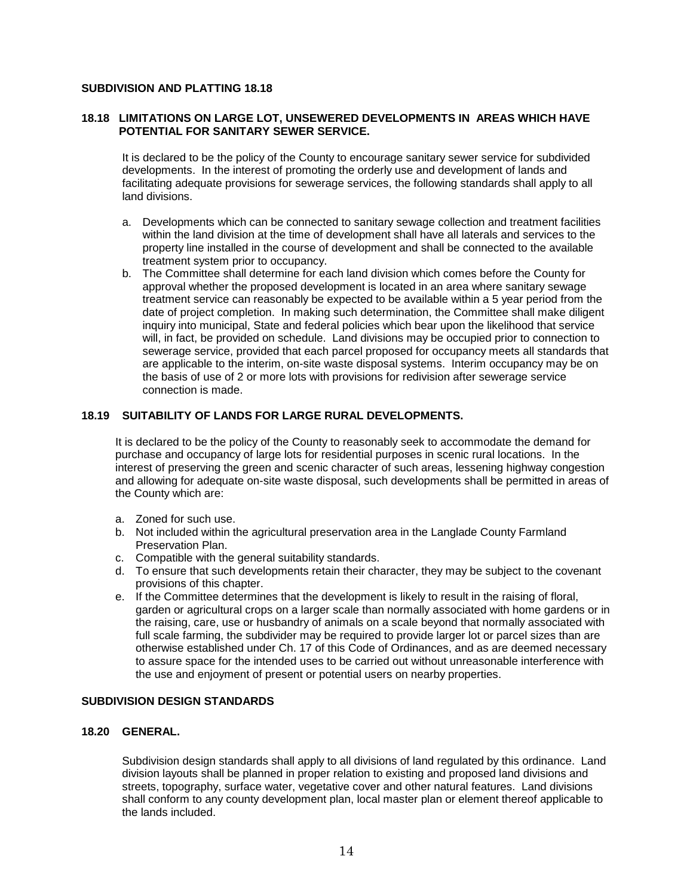#### **18.18 LIMITATIONS ON LARGE LOT, UNSEWERED DEVELOPMENTS IN AREAS WHICH HAVE POTENTIAL FOR SANITARY SEWER SERVICE.**

It is declared to be the policy of the County to encourage sanitary sewer service for subdivided developments. In the interest of promoting the orderly use and development of lands and facilitating adequate provisions for sewerage services, the following standards shall apply to all land divisions.

- a. Developments which can be connected to sanitary sewage collection and treatment facilities within the land division at the time of development shall have all laterals and services to the property line installed in the course of development and shall be connected to the available treatment system prior to occupancy.
- b. The Committee shall determine for each land division which comes before the County for approval whether the proposed development is located in an area where sanitary sewage treatment service can reasonably be expected to be available within a 5 year period from the date of project completion. In making such determination, the Committee shall make diligent inquiry into municipal, State and federal policies which bear upon the likelihood that service will, in fact, be provided on schedule. Land divisions may be occupied prior to connection to sewerage service, provided that each parcel proposed for occupancy meets all standards that are applicable to the interim, on-site waste disposal systems. Interim occupancy may be on the basis of use of 2 or more lots with provisions for redivision after sewerage service connection is made.

#### **18.19 SUITABILITY OF LANDS FOR LARGE RURAL DEVELOPMENTS.**

It is declared to be the policy of the County to reasonably seek to accommodate the demand for purchase and occupancy of large lots for residential purposes in scenic rural locations. In the interest of preserving the green and scenic character of such areas, lessening highway congestion and allowing for adequate on-site waste disposal, such developments shall be permitted in areas of the County which are:

- a. Zoned for such use.
- b. Not included within the agricultural preservation area in the Langlade County Farmland Preservation Plan.
- c. Compatible with the general suitability standards.
- d. To ensure that such developments retain their character, they may be subject to the covenant provisions of this chapter.
- e. If the Committee determines that the development is likely to result in the raising of floral, garden or agricultural crops on a larger scale than normally associated with home gardens or in the raising, care, use or husbandry of animals on a scale beyond that normally associated with full scale farming, the subdivider may be required to provide larger lot or parcel sizes than are otherwise established under Ch. 17 of this Code of Ordinances, and as are deemed necessary to assure space for the intended uses to be carried out without unreasonable interference with the use and enjoyment of present or potential users on nearby properties.

#### **SUBDIVISION DESIGN STANDARDS**

## **18.20 GENERAL.**

Subdivision design standards shall apply to all divisions of land regulated by this ordinance. Land division layouts shall be planned in proper relation to existing and proposed land divisions and streets, topography, surface water, vegetative cover and other natural features. Land divisions shall conform to any county development plan, local master plan or element thereof applicable to the lands included.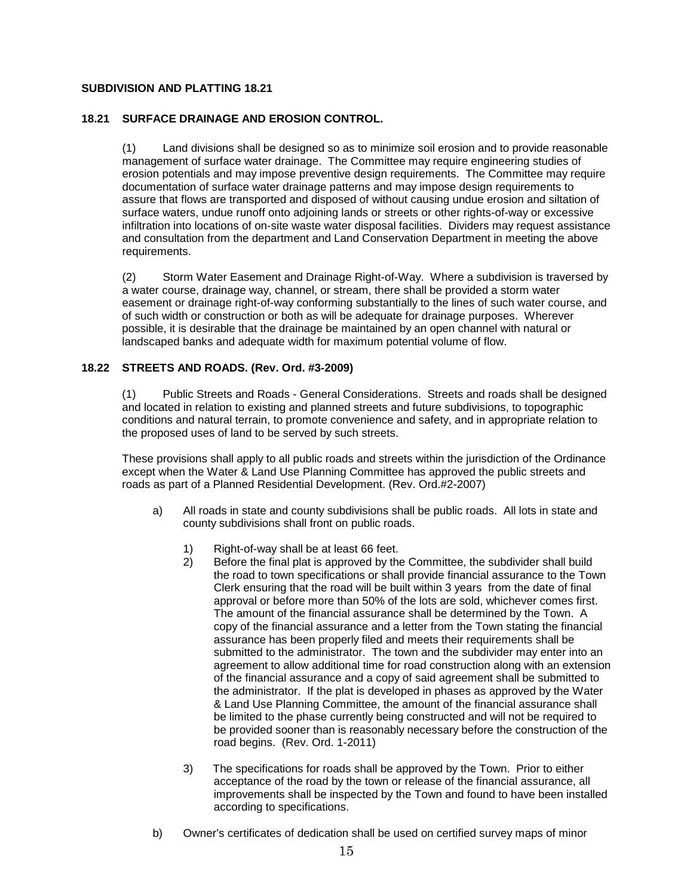## **18.21 SURFACE DRAINAGE AND EROSION CONTROL.**

(1) Land divisions shall be designed so as to minimize soil erosion and to provide reasonable management of surface water drainage. The Committee may require engineering studies of erosion potentials and may impose preventive design requirements. The Committee may require documentation of surface water drainage patterns and may impose design requirements to assure that flows are transported and disposed of without causing undue erosion and siltation of surface waters, undue runoff onto adjoining lands or streets or other rights-of-way or excessive infiltration into locations of on-site waste water disposal facilities. Dividers may request assistance and consultation from the department and Land Conservation Department in meeting the above requirements.

(2) Storm Water Easement and Drainage Right-of-Way. Where a subdivision is traversed by a water course, drainage way, channel, or stream, there shall be provided a storm water easement or drainage right-of-way conforming substantially to the lines of such water course, and of such width or construction or both as will be adequate for drainage purposes. Wherever possible, it is desirable that the drainage be maintained by an open channel with natural or landscaped banks and adequate width for maximum potential volume of flow.

## **18.22 STREETS AND ROADS. (Rev. Ord. #3-2009)**

(1) Public Streets and Roads - General Considerations. Streets and roads shall be designed and located in relation to existing and planned streets and future subdivisions, to topographic conditions and natural terrain, to promote convenience and safety, and in appropriate relation to the proposed uses of land to be served by such streets.

These provisions shall apply to all public roads and streets within the jurisdiction of the Ordinance except when the Water & Land Use Planning Committee has approved the public streets and roads as part of a Planned Residential Development. (Rev. Ord.#2-2007)

- a) All roads in state and county subdivisions shall be public roads. All lots in state and county subdivisions shall front on public roads.
	- 1) Right-of-way shall be at least 66 feet.<br>2) Before the final plat is approved by the
	- 2) Before the final plat is approved by the Committee, the subdivider shall build the road to town specifications or shall provide financial assurance to the Town Clerk ensuring that the road will be built within 3 years from the date of final approval or before more than 50% of the lots are sold, whichever comes first. The amount of the financial assurance shall be determined by the Town. A copy of the financial assurance and a letter from the Town stating the financial assurance has been properly filed and meets their requirements shall be submitted to the administrator. The town and the subdivider may enter into an agreement to allow additional time for road construction along with an extension of the financial assurance and a copy of said agreement shall be submitted to the administrator. If the plat is developed in phases as approved by the Water & Land Use Planning Committee, the amount of the financial assurance shall be limited to the phase currently being constructed and will not be required to be provided sooner than is reasonably necessary before the construction of the road begins. (Rev. Ord. 1-2011)
	- 3) The specifications for roads shall be approved by the Town. Prior to either acceptance of the road by the town or release of the financial assurance, all improvements shall be inspected by the Town and found to have been installed according to specifications.
- b) Owner's certificates of dedication shall be used on certified survey maps of minor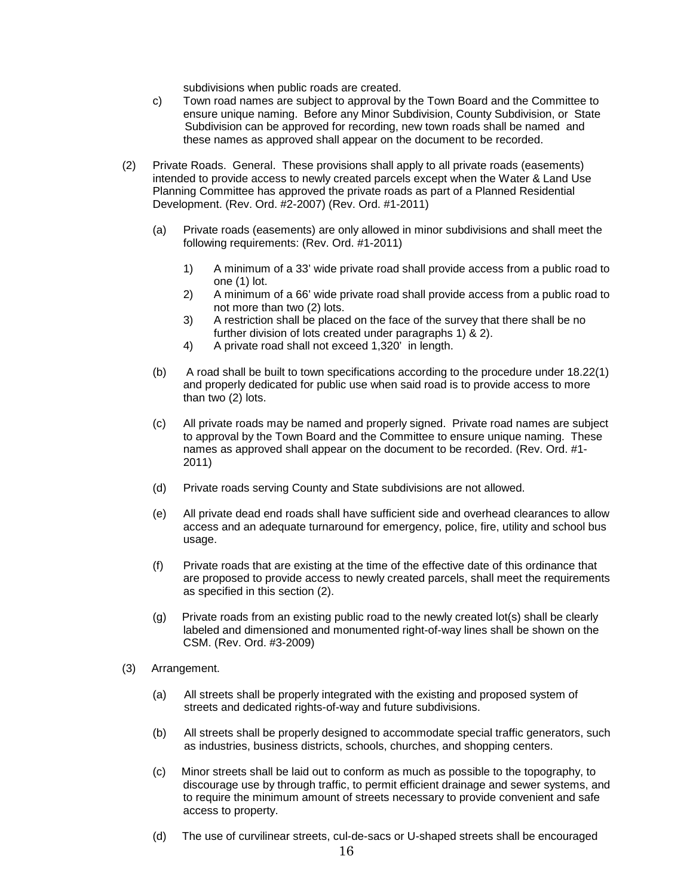subdivisions when public roads are created.

- c) Town road names are subject to approval by the Town Board and the Committee to ensure unique naming. Before any Minor Subdivision, County Subdivision, or State Subdivision can be approved for recording, new town roads shall be named and these names as approved shall appear on the document to be recorded.
- (2) Private Roads. General. These provisions shall apply to all private roads (easements) intended to provide access to newly created parcels except when the Water & Land Use Planning Committee has approved the private roads as part of a Planned Residential Development. (Rev. Ord. #2-2007) (Rev. Ord. #1-2011)
	- (a) Private roads (easements) are only allowed in minor subdivisions and shall meet the following requirements: (Rev. Ord. #1-2011)
		- 1) A minimum of a 33' wide private road shall provide access from a public road to one (1) lot.
		- 2) A minimum of a 66' wide private road shall provide access from a public road to not more than two (2) lots.
		- 3) A restriction shall be placed on the face of the survey that there shall be no further division of lots created under paragraphs 1) & 2).
		- 4) A private road shall not exceed 1,320' in length.
	- (b) A road shall be built to town specifications according to the procedure under 18.22(1) and properly dedicated for public use when said road is to provide access to more than two (2) lots.
	- (c) All private roads may be named and properly signed. Private road names are subject to approval by the Town Board and the Committee to ensure unique naming. These names as approved shall appear on the document to be recorded. (Rev. Ord. #1- 2011)
	- (d) Private roads serving County and State subdivisions are not allowed.
	- (e) All private dead end roads shall have sufficient side and overhead clearances to allow access and an adequate turnaround for emergency, police, fire, utility and school bus usage.
	- (f) Private roads that are existing at the time of the effective date of this ordinance that are proposed to provide access to newly created parcels, shall meet the requirements as specified in this section (2).
	- (g) Private roads from an existing public road to the newly created lot(s) shall be clearly labeled and dimensioned and monumented right-of-way lines shall be shown on the CSM. (Rev. Ord. #3-2009)
- (3) Arrangement.
	- (a) All streets shall be properly integrated with the existing and proposed system of streets and dedicated rights-of-way and future subdivisions.
	- (b) All streets shall be properly designed to accommodate special traffic generators, such as industries, business districts, schools, churches, and shopping centers.
	- (c) Minor streets shall be laid out to conform as much as possible to the topography, to discourage use by through traffic, to permit efficient drainage and sewer systems, and to require the minimum amount of streets necessary to provide convenient and safe access to property.
	- (d) The use of curvilinear streets, cul-de-sacs or U-shaped streets shall be encouraged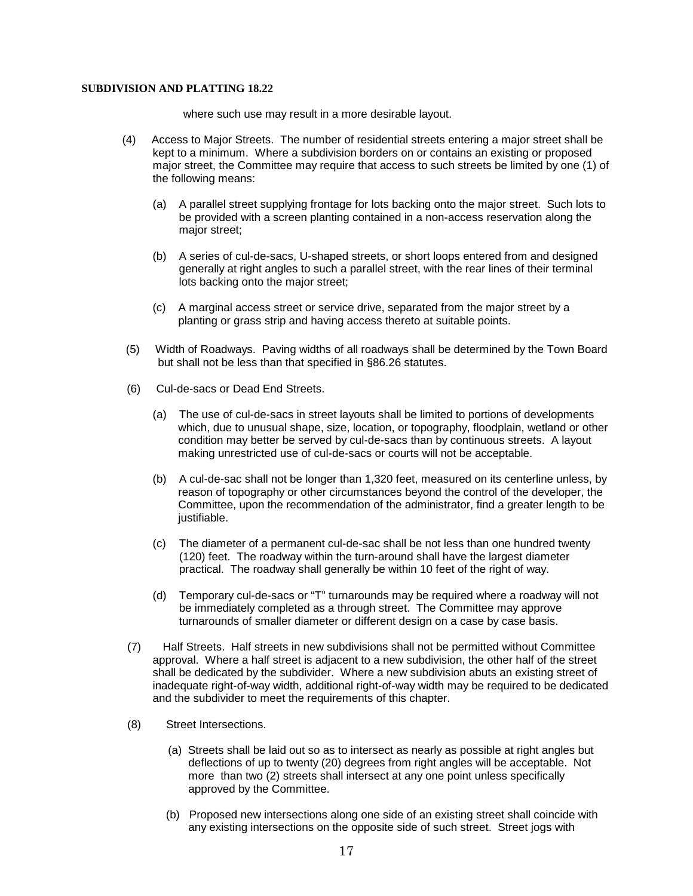where such use may result in a more desirable layout.

- (4) Access to Major Streets. The number of residential streets entering a major street shall be kept to a minimum. Where a subdivision borders on or contains an existing or proposed major street, the Committee may require that access to such streets be limited by one (1) of the following means:
	- (a) A parallel street supplying frontage for lots backing onto the major street. Such lots to be provided with a screen planting contained in a non-access reservation along the major street;
	- (b) A series of cul-de-sacs, U-shaped streets, or short loops entered from and designed generally at right angles to such a parallel street, with the rear lines of their terminal lots backing onto the major street;
	- (c) A marginal access street or service drive, separated from the major street by a planting or grass strip and having access thereto at suitable points.
- (5) Width of Roadways. Paving widths of all roadways shall be determined by the Town Board but shall not be less than that specified in §86.26 statutes.
- (6) Cul-de-sacs or Dead End Streets.
	- (a) The use of cul-de-sacs in street layouts shall be limited to portions of developments which, due to unusual shape, size, location, or topography, floodplain, wetland or other condition may better be served by cul-de-sacs than by continuous streets. A layout making unrestricted use of cul-de-sacs or courts will not be acceptable.
	- (b) A cul-de-sac shall not be longer than 1,320 feet, measured on its centerline unless, by reason of topography or other circumstances beyond the control of the developer, the Committee, upon the recommendation of the administrator, find a greater length to be justifiable.
	- (c) The diameter of a permanent cul-de-sac shall be not less than one hundred twenty (120) feet. The roadway within the turn-around shall have the largest diameter practical. The roadway shall generally be within 10 feet of the right of way.
	- (d) Temporary cul-de-sacs or "T" turnarounds may be required where a roadway will not be immediately completed as a through street. The Committee may approve turnarounds of smaller diameter or different design on a case by case basis.
- (7) Half Streets. Half streets in new subdivisions shall not be permitted without Committee approval. Where a half street is adjacent to a new subdivision, the other half of the street shall be dedicated by the subdivider. Where a new subdivision abuts an existing street of inadequate right-of-way width, additional right-of-way width may be required to be dedicated and the subdivider to meet the requirements of this chapter.
- (8) Street Intersections.
	- (a) Streets shall be laid out so as to intersect as nearly as possible at right angles but deflections of up to twenty (20) degrees from right angles will be acceptable. Not more than two (2) streets shall intersect at any one point unless specifically approved by the Committee.
	- (b) Proposed new intersections along one side of an existing street shall coincide with any existing intersections on the opposite side of such street. Street jogs with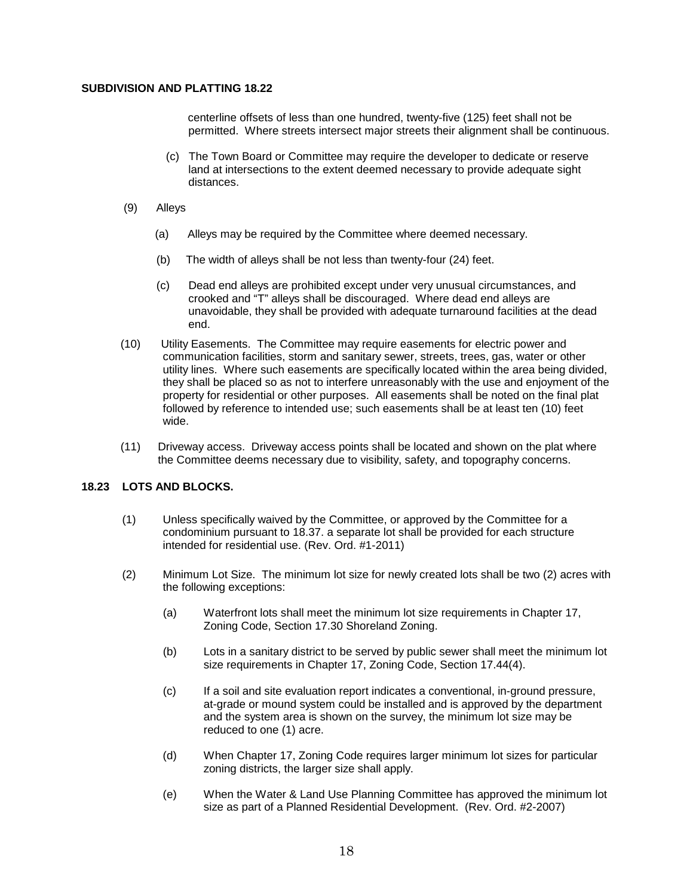centerline offsets of less than one hundred, twenty-five (125) feet shall not be permitted. Where streets intersect major streets their alignment shall be continuous.

- (c) The Town Board or Committee may require the developer to dedicate or reserve land at intersections to the extent deemed necessary to provide adequate sight distances.
- (9) Alleys
	- (a) Alleys may be required by the Committee where deemed necessary.
	- (b) The width of alleys shall be not less than twenty-four (24) feet.
	- (c) Dead end alleys are prohibited except under very unusual circumstances, and crooked and "T" alleys shall be discouraged. Where dead end alleys are unavoidable, they shall be provided with adequate turnaround facilities at the dead end.
- (10) Utility Easements. The Committee may require easements for electric power and communication facilities, storm and sanitary sewer, streets, trees, gas, water or other utility lines. Where such easements are specifically located within the area being divided, they shall be placed so as not to interfere unreasonably with the use and enjoyment of the property for residential or other purposes. All easements shall be noted on the final plat followed by reference to intended use; such easements shall be at least ten (10) feet wide.
- (11) Driveway access. Driveway access points shall be located and shown on the plat where the Committee deems necessary due to visibility, safety, and topography concerns.

# **18.23 LOTS AND BLOCKS.**

- (1) Unless specifically waived by the Committee, or approved by the Committee for a condominium pursuant to 18.37. a separate lot shall be provided for each structure intended for residential use. (Rev. Ord. #1-2011)
- (2) Minimum Lot Size. The minimum lot size for newly created lots shall be two (2) acres with the following exceptions:
	- (a) Waterfront lots shall meet the minimum lot size requirements in Chapter 17, Zoning Code, Section 17.30 Shoreland Zoning.
	- (b) Lots in a sanitary district to be served by public sewer shall meet the minimum lot size requirements in Chapter 17, Zoning Code, Section 17.44(4).
	- (c) If a soil and site evaluation report indicates a conventional, in-ground pressure, at-grade or mound system could be installed and is approved by the department and the system area is shown on the survey, the minimum lot size may be reduced to one (1) acre.
	- (d) When Chapter 17, Zoning Code requires larger minimum lot sizes for particular zoning districts, the larger size shall apply.
	- (e) When the Water & Land Use Planning Committee has approved the minimum lot size as part of a Planned Residential Development. (Rev. Ord. #2-2007)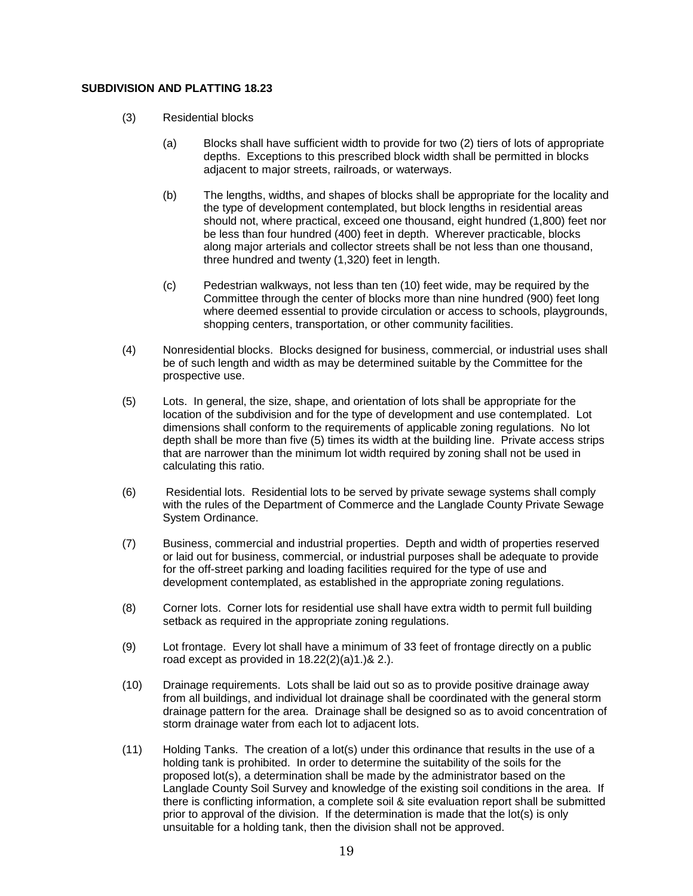- (3) Residential blocks
	- (a) Blocks shall have sufficient width to provide for two (2) tiers of lots of appropriate depths. Exceptions to this prescribed block width shall be permitted in blocks adjacent to major streets, railroads, or waterways.
	- (b) The lengths, widths, and shapes of blocks shall be appropriate for the locality and the type of development contemplated, but block lengths in residential areas should not, where practical, exceed one thousand, eight hundred (1,800) feet nor be less than four hundred (400) feet in depth. Wherever practicable, blocks along major arterials and collector streets shall be not less than one thousand, three hundred and twenty (1,320) feet in length.
	- (c) Pedestrian walkways, not less than ten (10) feet wide, may be required by the Committee through the center of blocks more than nine hundred (900) feet long where deemed essential to provide circulation or access to schools, playgrounds, shopping centers, transportation, or other community facilities.
- (4) Nonresidential blocks. Blocks designed for business, commercial, or industrial uses shall be of such length and width as may be determined suitable by the Committee for the prospective use.
- (5) Lots. In general, the size, shape, and orientation of lots shall be appropriate for the location of the subdivision and for the type of development and use contemplated. Lot dimensions shall conform to the requirements of applicable zoning regulations. No lot depth shall be more than five (5) times its width at the building line. Private access strips that are narrower than the minimum lot width required by zoning shall not be used in calculating this ratio.
- (6) Residential lots. Residential lots to be served by private sewage systems shall comply with the rules of the Department of Commerce and the Langlade County Private Sewage System Ordinance.
- (7) Business, commercial and industrial properties. Depth and width of properties reserved or laid out for business, commercial, or industrial purposes shall be adequate to provide for the off-street parking and loading facilities required for the type of use and development contemplated, as established in the appropriate zoning regulations.
- (8) Corner lots. Corner lots for residential use shall have extra width to permit full building setback as required in the appropriate zoning regulations.
- (9) Lot frontage. Every lot shall have a minimum of 33 feet of frontage directly on a public road except as provided in 18.22(2)(a)1.)& 2.).
- (10) Drainage requirements. Lots shall be laid out so as to provide positive drainage away from all buildings, and individual lot drainage shall be coordinated with the general storm drainage pattern for the area. Drainage shall be designed so as to avoid concentration of storm drainage water from each lot to adjacent lots.
- (11) Holding Tanks. The creation of a lot(s) under this ordinance that results in the use of a holding tank is prohibited. In order to determine the suitability of the soils for the proposed lot(s), a determination shall be made by the administrator based on the Langlade County Soil Survey and knowledge of the existing soil conditions in the area. If there is conflicting information, a complete soil & site evaluation report shall be submitted prior to approval of the division. If the determination is made that the lot(s) is only unsuitable for a holding tank, then the division shall not be approved.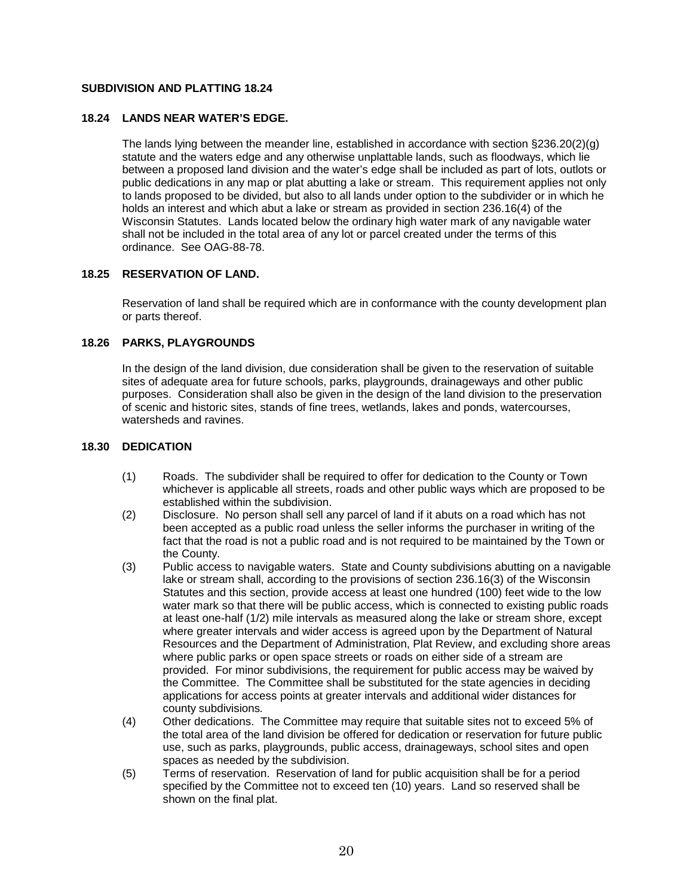## **18.24 LANDS NEAR WATER'S EDGE.**

The lands lying between the meander line, established in accordance with section §236.20(2)(g) statute and the waters edge and any otherwise unplattable lands, such as floodways, which lie between a proposed land division and the water's edge shall be included as part of lots, outlots or public dedications in any map or plat abutting a lake or stream. This requirement applies not only to lands proposed to be divided, but also to all lands under option to the subdivider or in which he holds an interest and which abut a lake or stream as provided in section 236.16(4) of the Wisconsin Statutes. Lands located below the ordinary high water mark of any navigable water shall not be included in the total area of any lot or parcel created under the terms of this ordinance. See OAG-88-78.

## **18.25 RESERVATION OF LAND.**

Reservation of land shall be required which are in conformance with the county development plan or parts thereof.

## **18.26 PARKS, PLAYGROUNDS**

In the design of the land division, due consideration shall be given to the reservation of suitable sites of adequate area for future schools, parks, playgrounds, drainageways and other public purposes. Consideration shall also be given in the design of the land division to the preservation of scenic and historic sites, stands of fine trees, wetlands, lakes and ponds, watercourses, watersheds and ravines.

#### **18.30 DEDICATION**

- (1) Roads. The subdivider shall be required to offer for dedication to the County or Town whichever is applicable all streets, roads and other public ways which are proposed to be established within the subdivision.
- (2) Disclosure. No person shall sell any parcel of land if it abuts on a road which has not been accepted as a public road unless the seller informs the purchaser in writing of the fact that the road is not a public road and is not required to be maintained by the Town or the County.
- (3) Public access to navigable waters. State and County subdivisions abutting on a navigable lake or stream shall, according to the provisions of section 236.16(3) of the Wisconsin Statutes and this section, provide access at least one hundred (100) feet wide to the low water mark so that there will be public access, which is connected to existing public roads at least one-half (1/2) mile intervals as measured along the lake or stream shore, except where greater intervals and wider access is agreed upon by the Department of Natural Resources and the Department of Administration, Plat Review, and excluding shore areas where public parks or open space streets or roads on either side of a stream are provided. For minor subdivisions, the requirement for public access may be waived by the Committee. The Committee shall be substituted for the state agencies in deciding applications for access points at greater intervals and additional wider distances for county subdivisions*.*
- (4) Other dedications. The Committee may require that suitable sites not to exceed 5% of the total area of the land division be offered for dedication or reservation for future public use, such as parks, playgrounds, public access, drainageways, school sites and open spaces as needed by the subdivision.
- (5) Terms of reservation. Reservation of land for public acquisition shall be for a period specified by the Committee not to exceed ten (10) years. Land so reserved shall be shown on the final plat.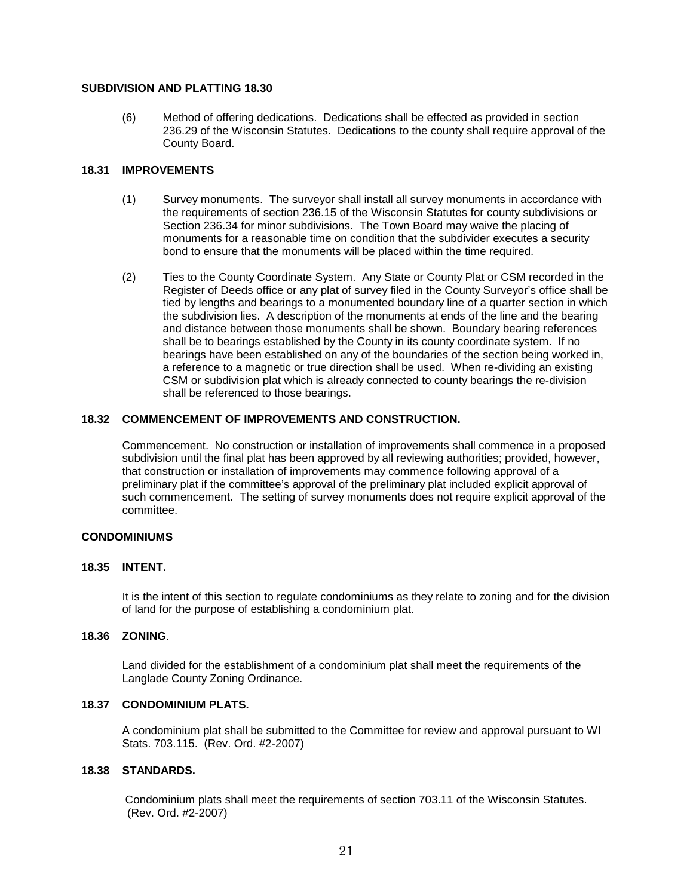(6) Method of offering dedications. Dedications shall be effected as provided in section 236.29 of the Wisconsin Statutes. Dedications to the county shall require approval of the County Board.

#### **18.31 IMPROVEMENTS**

- (1) Survey monuments. The surveyor shall install all survey monuments in accordance with the requirements of section 236.15 of the Wisconsin Statutes for county subdivisions or Section 236.34 for minor subdivisions. The Town Board may waive the placing of monuments for a reasonable time on condition that the subdivider executes a security bond to ensure that the monuments will be placed within the time required.
- (2) Ties to the County Coordinate System. Any State or County Plat or CSM recorded in the Register of Deeds office or any plat of survey filed in the County Surveyor's office shall be tied by lengths and bearings to a monumented boundary line of a quarter section in which the subdivision lies. A description of the monuments at ends of the line and the bearing and distance between those monuments shall be shown. Boundary bearing references shall be to bearings established by the County in its county coordinate system. If no bearings have been established on any of the boundaries of the section being worked in, a reference to a magnetic or true direction shall be used. When re-dividing an existing CSM or subdivision plat which is already connected to county bearings the re-division shall be referenced to those bearings.

## **18.32 COMMENCEMENT OF IMPROVEMENTS AND CONSTRUCTION.**

Commencement. No construction or installation of improvements shall commence in a proposed subdivision until the final plat has been approved by all reviewing authorities; provided, however, that construction or installation of improvements may commence following approval of a preliminary plat if the committee's approval of the preliminary plat included explicit approval of such commencement. The setting of survey monuments does not require explicit approval of the committee.

#### **CONDOMINIUMS**

## **18.35 INTENT.**

It is the intent of this section to regulate condominiums as they relate to zoning and for the division of land for the purpose of establishing a condominium plat.

#### **18.36 ZONING**.

Land divided for the establishment of a condominium plat shall meet the requirements of the Langlade County Zoning Ordinance.

## **18.37 CONDOMINIUM PLATS.**

A condominium plat shall be submitted to the Committee for review and approval pursuant to WI Stats. 703.115. (Rev. Ord. #2-2007)

# **18.38 STANDARDS.**

Condominium plats shall meet the requirements of section 703.11 of the Wisconsin Statutes. (Rev. Ord. #2-2007)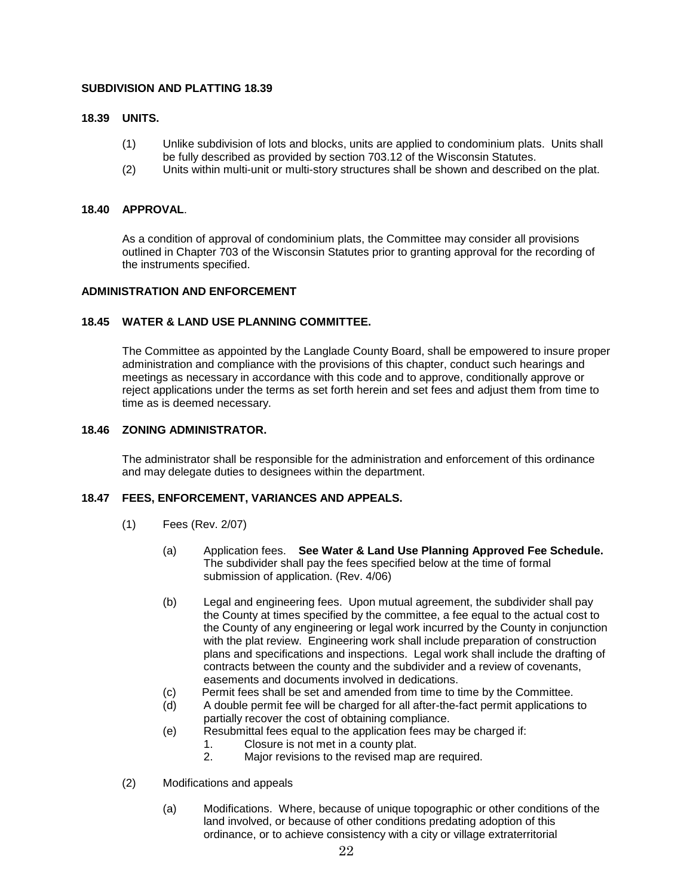#### **18.39 UNITS.**

- (1) Unlike subdivision of lots and blocks, units are applied to condominium plats. Units shall be fully described as provided by section 703.12 of the Wisconsin Statutes.
- (2) Units within multi-unit or multi-story structures shall be shown and described on the plat.

#### **18.40 APPROVAL**.

As a condition of approval of condominium plats, the Committee may consider all provisions outlined in Chapter 703 of the Wisconsin Statutes prior to granting approval for the recording of the instruments specified.

#### **ADMINISTRATION AND ENFORCEMENT**

#### **18.45 WATER & LAND USE PLANNING COMMITTEE.**

The Committee as appointed by the Langlade County Board, shall be empowered to insure proper administration and compliance with the provisions of this chapter, conduct such hearings and meetings as necessary in accordance with this code and to approve, conditionally approve or reject applications under the terms as set forth herein and set fees and adjust them from time to time as is deemed necessary.

#### **18.46 ZONING ADMINISTRATOR.**

The administrator shall be responsible for the administration and enforcement of this ordinance and may delegate duties to designees within the department.

#### **18.47 FEES, ENFORCEMENT, VARIANCES AND APPEALS.**

- (1) Fees (Rev. 2/07)
	- (a) Application fees. **See Water & Land Use Planning Approved Fee Schedule.** The subdivider shall pay the fees specified below at the time of formal submission of application. (Rev. 4/06)
	- (b) Legal and engineering fees. Upon mutual agreement, the subdivider shall pay the County at times specified by the committee, a fee equal to the actual cost to the County of any engineering or legal work incurred by the County in conjunction with the plat review. Engineering work shall include preparation of construction plans and specifications and inspections. Legal work shall include the drafting of contracts between the county and the subdivider and a review of covenants, easements and documents involved in dedications.
	- (c) Permit fees shall be set and amended from time to time by the Committee.
	- (d) A double permit fee will be charged for all after-the-fact permit applications to partially recover the cost of obtaining compliance.
	- (e) Resubmittal fees equal to the application fees may be charged if:
		- 1. Closure is not met in a county plat.
		- 2. Major revisions to the revised map are required.
- (2) Modifications and appeals
	- (a) Modifications. Where, because of unique topographic or other conditions of the land involved, or because of other conditions predating adoption of this ordinance, or to achieve consistency with a city or village extraterritorial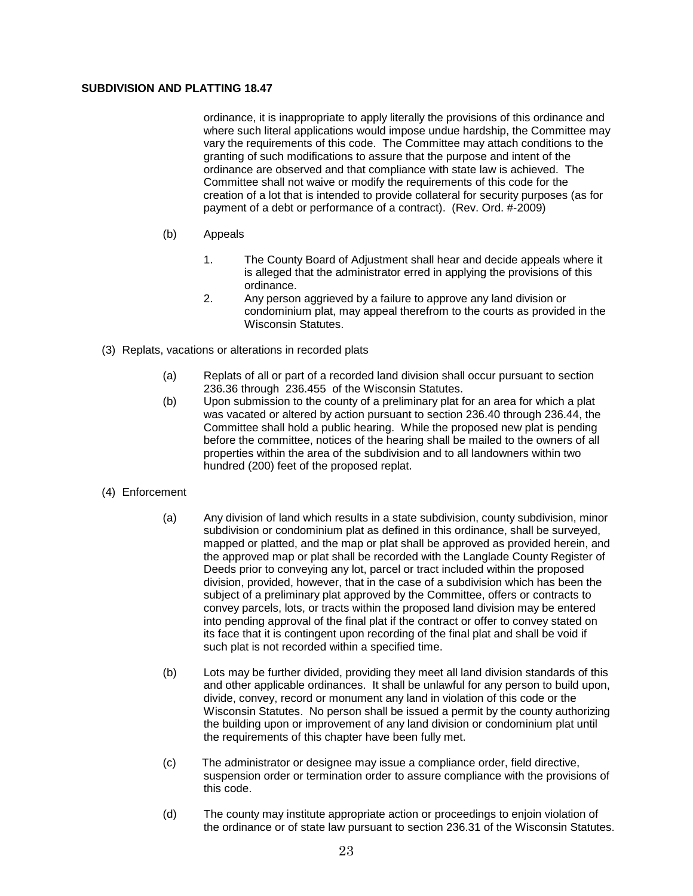ordinance, it is inappropriate to apply literally the provisions of this ordinance and where such literal applications would impose undue hardship, the Committee may vary the requirements of this code. The Committee may attach conditions to the granting of such modifications to assure that the purpose and intent of the ordinance are observed and that compliance with state law is achieved. The Committee shall not waive or modify the requirements of this code for the creation of a lot that is intended to provide collateral for security purposes (as for payment of a debt or performance of a contract). (Rev. Ord. #-2009)

- (b) Appeals
	- 1. The County Board of Adjustment shall hear and decide appeals where it is alleged that the administrator erred in applying the provisions of this ordinance.
	- 2. Any person aggrieved by a failure to approve any land division or condominium plat, may appeal therefrom to the courts as provided in the Wisconsin Statutes.
- (3) Replats, vacations or alterations in recorded plats
	- (a) Replats of all or part of a recorded land division shall occur pursuant to section 236.36 through 236.455 of the Wisconsin Statutes.
	- (b) Upon submission to the county of a preliminary plat for an area for which a plat was vacated or altered by action pursuant to section 236.40 through 236.44, the Committee shall hold a public hearing. While the proposed new plat is pending before the committee, notices of the hearing shall be mailed to the owners of all properties within the area of the subdivision and to all landowners within two hundred (200) feet of the proposed replat.
- (4) Enforcement
	- (a) Any division of land which results in a state subdivision, county subdivision, minor subdivision or condominium plat as defined in this ordinance, shall be surveyed, mapped or platted, and the map or plat shall be approved as provided herein, and the approved map or plat shall be recorded with the Langlade County Register of Deeds prior to conveying any lot, parcel or tract included within the proposed division, provided, however, that in the case of a subdivision which has been the subject of a preliminary plat approved by the Committee, offers or contracts to convey parcels, lots, or tracts within the proposed land division may be entered into pending approval of the final plat if the contract or offer to convey stated on its face that it is contingent upon recording of the final plat and shall be void if such plat is not recorded within a specified time.
	- (b) Lots may be further divided, providing they meet all land division standards of this and other applicable ordinances. It shall be unlawful for any person to build upon, divide, convey, record or monument any land in violation of this code or the Wisconsin Statutes. No person shall be issued a permit by the county authorizing the building upon or improvement of any land division or condominium plat until the requirements of this chapter have been fully met.
	- (c) The administrator or designee may issue a compliance order, field directive, suspension order or termination order to assure compliance with the provisions of this code.
	- (d) The county may institute appropriate action or proceedings to enjoin violation of the ordinance or of state law pursuant to section 236.31 of the Wisconsin Statutes.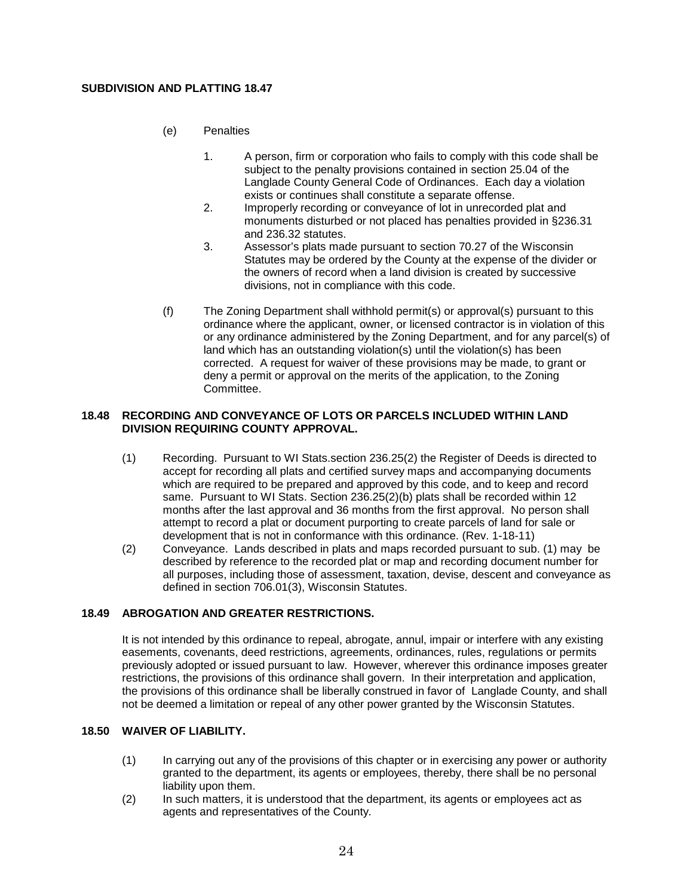- (e) Penalties
	- 1. A person, firm or corporation who fails to comply with this code shall be subject to the penalty provisions contained in section 25.04 of the Langlade County General Code of Ordinances. Each day a violation exists or continues shall constitute a separate offense.
	- 2. Improperly recording or conveyance of lot in unrecorded plat and monuments disturbed or not placed has penalties provided in §236.31 and 236.32 statutes.
	- 3. Assessor's plats made pursuant to section 70.27 of the Wisconsin Statutes may be ordered by the County at the expense of the divider or the owners of record when a land division is created by successive divisions, not in compliance with this code.
- (f) The Zoning Department shall withhold permit(s) or approval(s) pursuant to this ordinance where the applicant, owner, or licensed contractor is in violation of this or any ordinance administered by the Zoning Department, and for any parcel(s) of land which has an outstanding violation(s) until the violation(s) has been corrected. A request for waiver of these provisions may be made, to grant or deny a permit or approval on the merits of the application, to the Zoning Committee.

#### **18.48 RECORDING AND CONVEYANCE OF LOTS OR PARCELS INCLUDED WITHIN LAND DIVISION REQUIRING COUNTY APPROVAL.**

- (1) Recording. Pursuant to WI Stats.section 236.25(2) the Register of Deeds is directed to accept for recording all plats and certified survey maps and accompanying documents which are required to be prepared and approved by this code, and to keep and record same. Pursuant to WI Stats. Section 236.25(2)(b) plats shall be recorded within 12 months after the last approval and 36 months from the first approval. No person shall attempt to record a plat or document purporting to create parcels of land for sale or development that is not in conformance with this ordinance. (Rev. 1-18-11)
- (2) Conveyance. Lands described in plats and maps recorded pursuant to sub. (1) may be described by reference to the recorded plat or map and recording document number for all purposes, including those of assessment, taxation, devise, descent and conveyance as defined in section 706.01(3), Wisconsin Statutes.

# **18.49 ABROGATION AND GREATER RESTRICTIONS.**

It is not intended by this ordinance to repeal, abrogate, annul, impair or interfere with any existing easements, covenants, deed restrictions, agreements, ordinances, rules, regulations or permits previously adopted or issued pursuant to law. However, wherever this ordinance imposes greater restrictions, the provisions of this ordinance shall govern. In their interpretation and application, the provisions of this ordinance shall be liberally construed in favor of Langlade County, and shall not be deemed a limitation or repeal of any other power granted by the Wisconsin Statutes.

# **18.50 WAIVER OF LIABILITY.**

- (1) In carrying out any of the provisions of this chapter or in exercising any power or authority granted to the department, its agents or employees, thereby, there shall be no personal liability upon them.
- (2) In such matters, it is understood that the department, its agents or employees act as agents and representatives of the County.